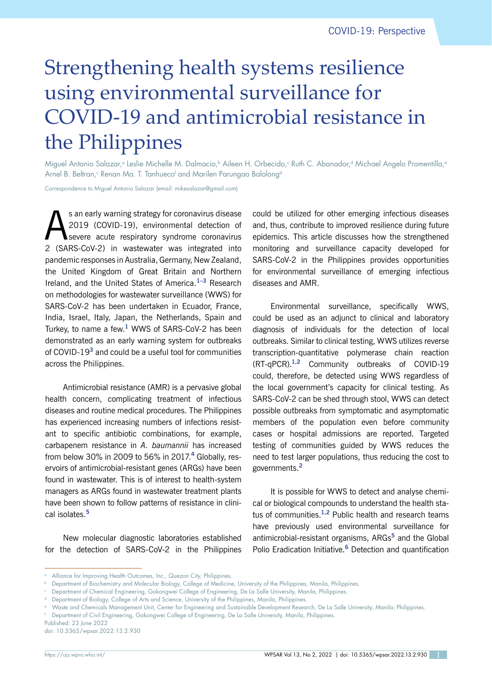# Strengthening health systems resilience using environmental surveillance for COVID-19 and antimicrobial resistance in the Philippines

Miguel Antonio Salazar,ª Leslie Michelle M. Dalmacio,ʰ Aileen H. Orbecido,ˤ Ruth C. Abanador,ª Michael Angelo Promentilla,ª Arnel B. Beltran,<sup>c</sup> Renan Ma. T. Tanhueco<sup>r</sup> and Marilen Parungao Balolong<sup>d</sup>

Correspondence to Miguel Antonio Salazar (email: mikesalazar@gmail.com)

 $\sum$  s an early warning strategy for coronavirus disease<br>2019 (COVID-19), environmental detection of<br>3. (SADS CoV.2), in westworks, were integrated into 2019 (COVID-19), environmental detection of severe acute respiratory syndrome coronavirus 2 (SARS-CoV-2) in wastewater was integrated into pandemic responses in Australia, Germany, New Zealand, the United Kingdom of Great Britain and Northern Ireland, and the United States of America.**1–3** Research on methodologies for wastewater surveillance (WWS) for SARS-CoV-2 has been undertaken in Ecuador, France, India, Israel, Italy, Japan, the Netherlands, Spain and Turkey, to name a few.**<sup>1</sup>** WWS of SARS-CoV-2 has been demonstrated as an early warning system for outbreaks of COVID-19**<sup>3</sup>** and could be a useful tool for communities across the Philippines.

Antimicrobial resistance (AMR) is a pervasive global health concern, complicating treatment of infectious diseases and routine medical procedures. The Philippines has experienced increasing numbers of infections resistant to specific antibiotic combinations, for example, carbapenem resistance in *A. baumannii* has increased from below 30% in 2009 to 56% in 2017.**<sup>4</sup>** Globally, reservoirs of antimicrobial-resistant genes (ARGs) have been found in wastewater. This is of interest to health-system managers as ARGs found in wastewater treatment plants have been shown to follow patterns of resistance in clinical isolates.**<sup>5</sup>**

New molecular diagnostic laboratories established for the detection of SARS-CoV-2 in the Philippines could be utilized for other emerging infectious diseases and, thus, contribute to improved resilience during future epidemics. This article discusses how the strengthened monitoring and surveillance capacity developed for SARS-CoV-2 in the Philippines provides opportunities for environmental surveillance of emerging infectious diseases and AMR.

Environmental surveillance, specifically WWS, could be used as an adjunct to clinical and laboratory diagnosis of individuals for the detection of local outbreaks. Similar to clinical testing, WWS utilizes reverse transcription-quantitative polymerase chain reaction (RT-qPCR).**1,2** Community outbreaks of COVID-19 could, therefore, be detected using WWS regardless of the local government's capacity for clinical testing. As SARS-CoV-2 can be shed through stool, WWS can detect possible outbreaks from symptomatic and asymptomatic members of the population even before community cases or hospital admissions are reported. Targeted testing of communities guided by WWS reduces the need to test larger populations, thus reducing the cost to governments.**<sup>2</sup>**

It is possible for WWS to detect and analyse chemical or biological compounds to understand the health status of communities.**1,2** Public health and research teams have previously used environmental surveillance for antimicrobial-resistant organisms, ARGs**<sup>5</sup>** and the Global Polio Eradication Initiative.**<sup>6</sup>** Detection and quantification

Published: 23 June 2022 doi: 10.5365/wpsar.2022.13.2.930

<sup>&</sup>lt;sup>a</sup> Alliance for Improving Health Outcomes, Inc., Quezon City, Philippines.

<sup>b</sup> Department of Biochemistry and Molecular Biology, College of Medicine, University of the Philippines, Manila, Philippines.

<sup>c</sup> Department of Chemical Engineering, Gokongwei College of Engineering, De La Salle University, Manila, Philippines.

Department of Biology, College of Arts and Science, University of the Philippines, Manila, Philippines.

<sup>e</sup> Waste and Chemicals Management Unit, Center for Engineering and Sustainable Development Research, De La Salle University, Manila, Philippines.

<sup>f</sup> Department of Civil Engineering, Gokongwei College of Engineering, De La Salle University, Manila, Philippines.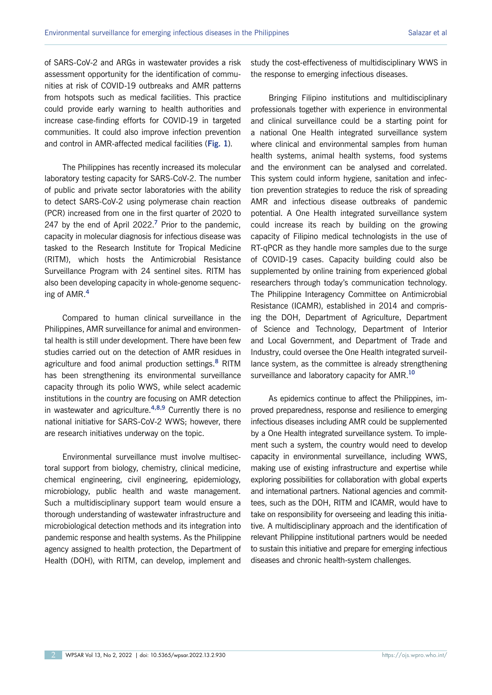of SARS-CoV-2 and ARGs in wastewater provides a risk assessment opportunity for the identification of communities at risk of COVID-19 outbreaks and AMR patterns from hotspots such as medical facilities. This practice could provide early warning to health authorities and increase case-finding efforts for COVID-19 in targeted communities. It could also improve infection prevention and control in AMR-affected medical facilities (**Fig. 1**).

The Philippines has recently increased its molecular laboratory testing capacity for SARS-CoV-2. The number of public and private sector laboratories with the ability to detect SARS-CoV-2 using polymerase chain reaction (PCR) increased from one in the first quarter of 2020 to 247 by the end of April 2022.**<sup>7</sup>** Prior to the pandemic, capacity in molecular diagnosis for infectious disease was tasked to the Research Institute for Tropical Medicine (RITM), which hosts the Antimicrobial Resistance Surveillance Program with 24 sentinel sites. RITM has also been developing capacity in whole-genome sequencing of AMR.**<sup>4</sup>**

Compared to human clinical surveillance in the Philippines, AMR surveillance for animal and environmental health is still under development. There have been few studies carried out on the detection of AMR residues in agriculture and food animal production settings.**<sup>8</sup>** RITM has been strengthening its environmental surveillance capacity through its polio WWS, while select academic institutions in the country are focusing on AMR detection in wastewater and agriculture.**4,8,9** Currently there is no national initiative for SARS-CoV-2 WWS; however, there are research initiatives underway on the topic.

Environmental surveillance must involve multisectoral support from biology, chemistry, clinical medicine, chemical engineering, civil engineering, epidemiology, microbiology, public health and waste management. Such a multidisciplinary support team would ensure a thorough understanding of wastewater infrastructure and microbiological detection methods and its integration into pandemic response and health systems. As the Philippine agency assigned to health protection, the Department of Health (DOH), with RITM, can develop, implement and

study the cost-effectiveness of multidisciplinary WWS in the response to emerging infectious diseases.

Bringing Filipino institutions and multidisciplinary professionals together with experience in environmental and clinical surveillance could be a starting point for a national One Health integrated surveillance system where clinical and environmental samples from human health systems, animal health systems, food systems and the environment can be analysed and correlated. This system could inform hygiene, sanitation and infection prevention strategies to reduce the risk of spreading AMR and infectious disease outbreaks of pandemic potential. A One Health integrated surveillance system could increase its reach by building on the growing capacity of Filipino medical technologists in the use of RT-qPCR as they handle more samples due to the surge of COVID-19 cases. Capacity building could also be supplemented by online training from experienced global researchers through today's communication technology. The Philippine Interagency Committee on Antimicrobial Resistance (ICAMR), established in 2014 and comprising the DOH, Department of Agriculture, Department of Science and Technology, Department of Interior and Local Government, and Department of Trade and Industry, could oversee the One Health integrated surveillance system, as the committee is already strengthening surveillance and laboratory capacity for AMR.**<sup>10</sup>**

As epidemics continue to affect the Philippines, improved preparedness, response and resilience to emerging infectious diseases including AMR could be supplemented by a One Health integrated surveillance system. To implement such a system, the country would need to develop capacity in environmental surveillance, including WWS, making use of existing infrastructure and expertise while exploring possibilities for collaboration with global experts and international partners. National agencies and committees, such as the DOH, RITM and ICAMR, would have to take on responsibility for overseeing and leading this initiative. A multidisciplinary approach and the identification of relevant Philippine institutional partners would be needed to sustain this initiative and prepare for emerging infectious diseases and chronic health-system challenges.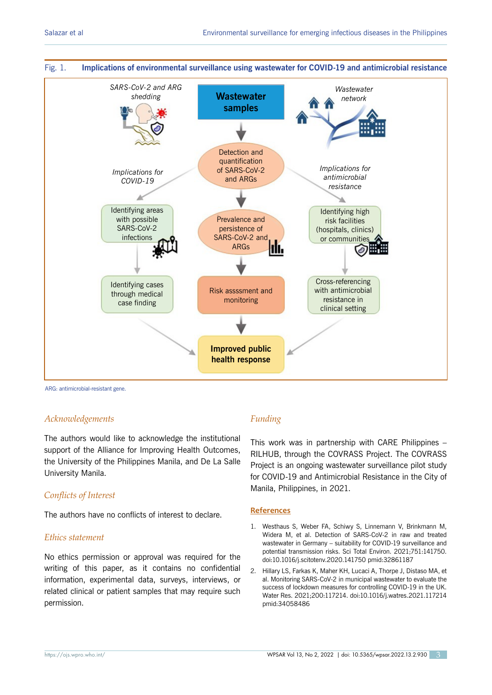

ARG: antimicrobial-resistant gene.

## *Acknowledgements*

The authors would like to acknowledge the institutional support of the Alliance for Improving Health Outcomes, the University of the Philippines Manila, and De La Salle University Manila.

## *Conflicts of Interest*

The authors have no conflicts of interest to declare.

#### *Ethics statement*

No ethics permission or approval was required for the writing of this paper, as it contains no confidential information, experimental data, surveys, interviews, or related clinical or patient samples that may require such permission.

# *Funding*

This work was in partnership with CARE Philippines – RILHUB, through the COVRASS Project. The COVRASS Project is an ongoing wastewater surveillance pilot study for COVID-19 and Antimicrobial Resistance in the City of Manila, Philippines, in 2021.

#### **References**

- 1. Westhaus S, Weber FA, Schiwy S, Linnemann V, Brinkmann M, Widera M, et al. Detection of SARS-CoV-2 in raw and treated wastewater in Germany – suitability for COVID-19 surveillance and potential transmission risks. Sci Total Environ. 2021;751:141750. doi:10.1016/j.scitotenv.2020.141750 pmid:32861187
- 2. Hillary LS, Farkas K, Maher KH, Lucaci A, Thorpe J, Distaso MA, et al. Monitoring SARS-CoV-2 in municipal wastewater to evaluate the success of lockdown measures for controlling COVID-19 in the UK. Water Res. 2021;200:117214. doi:10.1016/j.watres.2021.117214 pmid:34058486